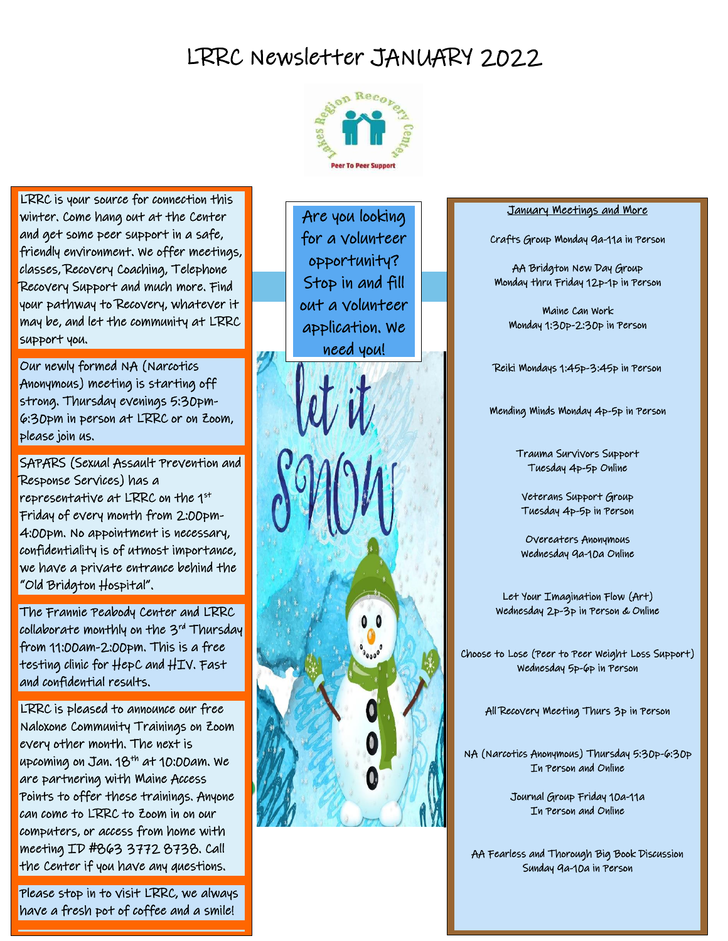# LRRC Newsletter JANUARY 2022



LRRC is your source for connection this winter. Come hang out at the Center and get some peer support in a safe, friendly environment. We offer meetings, classes, Recovery Coaching, Telephone Recovery Support and much more. Find your pathway to Recovery, whatever it may be, and let the community at LRRC support you.

Our newly formed NA (Narcotics Anonymous) meeting is starting off strong. Thursday evenings 5:30pm-6:30pm in person at LRRC or on Zoom, please join us.

SAPARS (Sexual Assault Prevention and Response Services) has a representative at LRRC on the 1st Friday of every month from 2:00pm-4:00pm. No appointment is necessary, confidentiality is of utmost importance, we have a private entrance behind the "Old Bridgton Hospital".

The Frannie Peabody Center and LRRC collaborate monthly on the 3rd Thursday from 11:00am-2:00pm. This is a free testing clinic for HepC and HIV. Fast and confidential results.

can come to LRRC to Zoom in on our<br>computers or assess from loome with  $\mathcal{W}$ LRRC is pleased to announce our free Naloxone Community Trainings on Zoom every other month. The next is upcoming on Jan. 18<sup>th</sup> at 10:00am. We are partnering with Maine Access Points to offer these trainings. Anyone computers, or access from home with meeting ID #863 3772 8738. Call the Center if you have any questions.

Please stop in to visit LRRC, we always have a fresh pot of coffee and a smile!

Ī

 for a volunteer Are you looking opportunity? Stop in and fill out a volunteer application. We need you!

 $\bullet$   $\bullet$ 

#### January Meetings and More

Crafts Group Monday 9a-11a in Person

AA Bridgton New Day Group Monday thru Friday 12p-1p in Person

Maine Can Work Monday 1:30p-2:30p in Person

Reiki Mondays 1:45p-3:45p in Person

Mending Minds Monday 4p-5p in Person

Trauma Survivors Support Tuesday 4p-5p Online

Veterans Support Group Tuesday 4p-5p in Person

Overeaters Anonymous Wednesday 9a-10a Online

Let Your Imagination Flow (Art) Wednesday 2p-3p in Person & Online

Choose to Lose (Peer to Peer Weight Loss Support) Wednesday 5p-6p in Person

All Recovery Meeting Thurs 3p in Person

NA (Narcotics Anonymous) Thursday 5:30p-6:30p In Person and Online

> Journal Group Friday 10a-11a In Person and Online

AA Fearless and Thorough Big Book Discussion Sunday 9a-10a in Person

l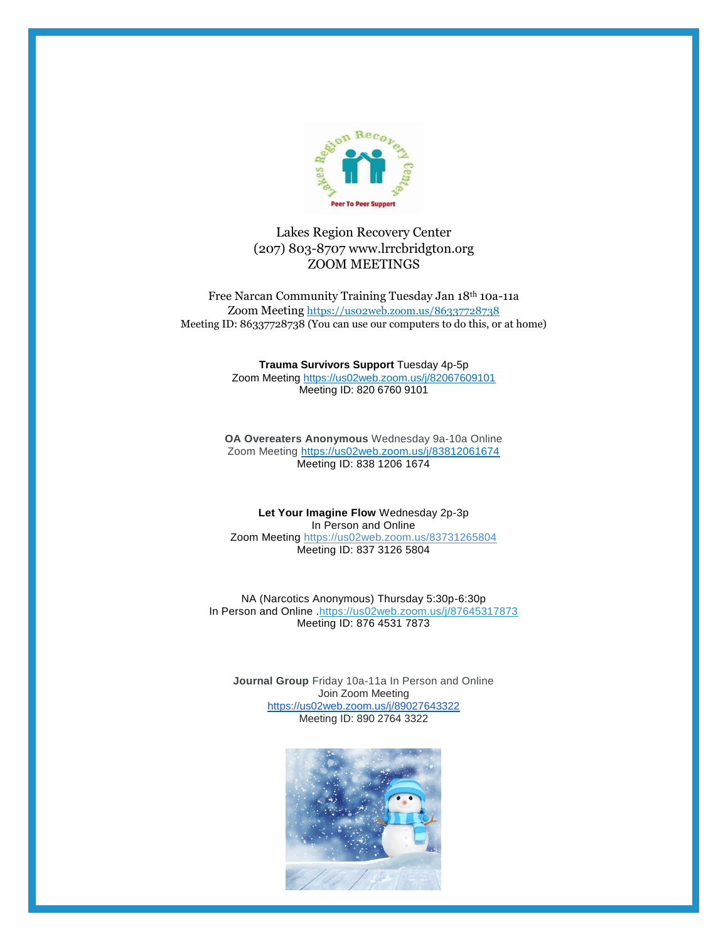

#### Lakes Region Recovery Center (207) 803-8707 www.lrrcbridgton.org ZOOM MEETINGS

Free Narcan Community Training Tuesday Jan 18th 10a-11a Zoom Meeting <https://us02web.zoom.us/86337728738> Meeting ID: 86337728738 (You can use our computers to do this, or at home)

#### **Trauma Survivors Support** Tuesday 4p-5p

Zoom Meeting <https://us02web.zoom.us/j/82067609101> Meeting ID: 820 6760 9101

**OA Overeaters Anonymous** Wednesday 9a-10a Online Zoom Meeting<https://us02web.zoom.us/j/83812061674> Meeting ID: 838 1206 1674

**Let Your Imagine Flow** Wednesday 2p-3p In Person and Online Zoom Meeting <https://us02web.zoom.us/83731265804> Meeting ID: 837 3126 5804

NA (Narcotics Anonymous) Thursday 5:30p-6:30p In Person and Online .https://us02web.zoom.us/j/87645317873 Meeting ID: 876 4531 7873

**Journal Group** Friday 10a-11a In Person and Online Join Zoom Meeting <https://us02web.zoom.us/j/89027643322> Meeting ID: 890 2764 3322

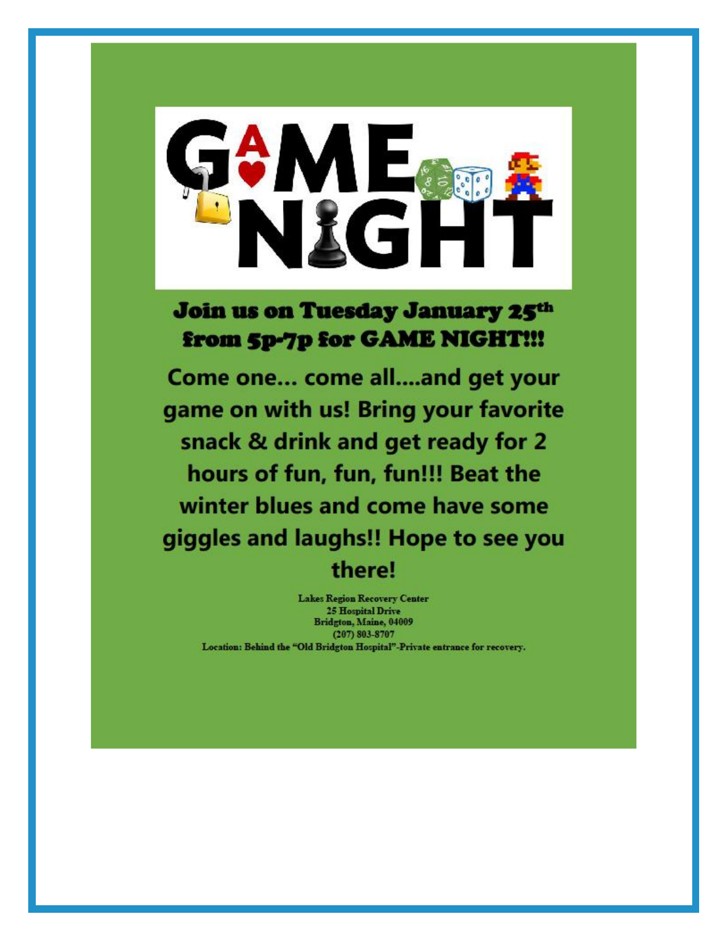

**Join us on Tuesday January 25th** from 5p-7p for GAME NIGHT!!!

Come one... come all....and get your game on with us! Bring your favorite snack & drink and get ready for 2 hours of fun, fun, fun!!! Beat the winter blues and come have some giggles and laughs!! Hope to see you there!

**Lakes Region Recovery Center 25 Hospital Drive** Bridgton, Maine, 04009 (207) 803-8707 Location: Behind the "Old Bridgton Hospital"-Private entrance for recovery.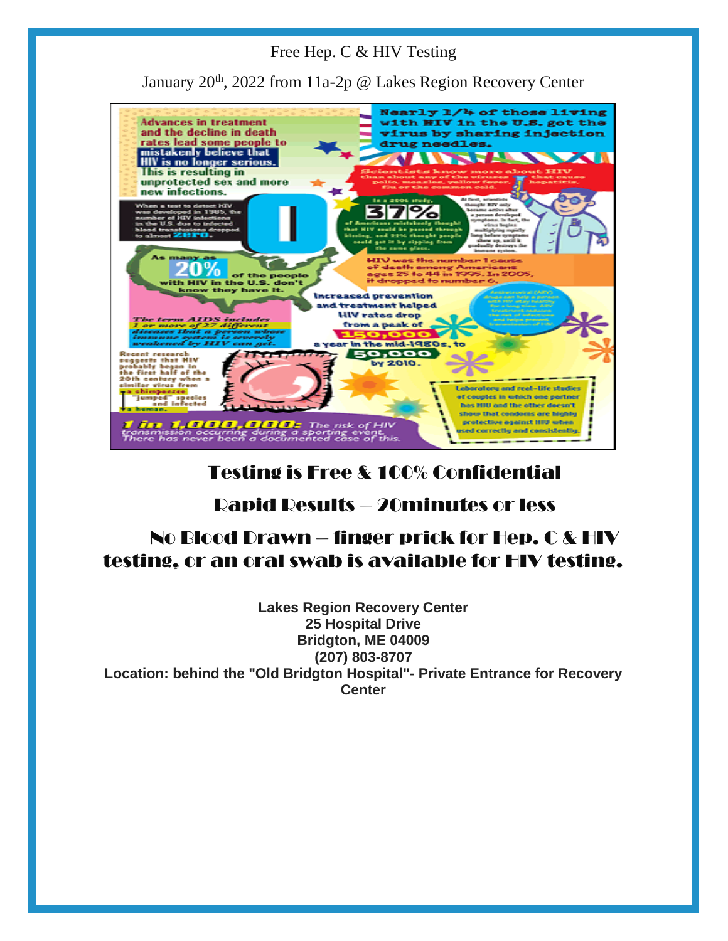#### Free Hep. C & HIV Testing

January 20<sup>th</sup>, 2022 from 11a-2p @ Lakes Region Recovery Center



# Testing is Free & 100% Confidential

# Rapid Results – 20minutes or less

# No Blood Drawn – finger prick for Hep. C & HIV testing, or an oral swab is available for HIV testing.

**Lakes Region Recovery Center 25 Hospital Drive Bridgton, ME 04009 (207) 803-8707 Location: behind the "Old Bridgton Hospital"- Private Entrance for Recovery Center**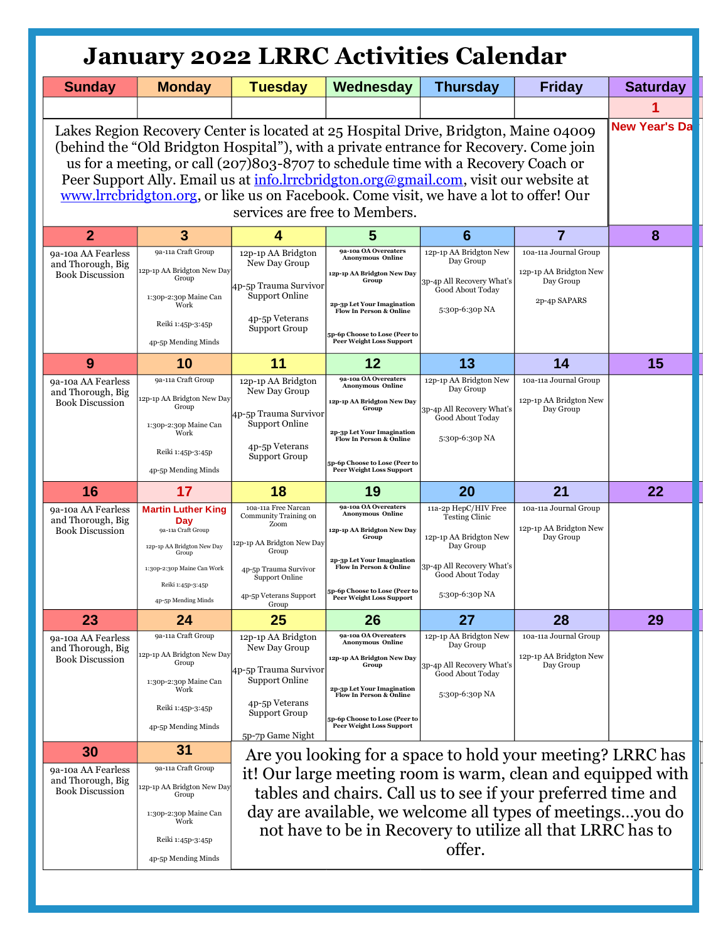# **January 2022 LRRC Activities Calendar**

| <b>Sunday</b>                                                                                                                                                                                                                                                                                                                                                                                                                                                                       | <b>Monday</b>                                                                                                                                    | <b>Tuesday</b>                                                                                                                                      | Wednesday                                                                                                                                                                                                                             | <b>Thursday</b>                                                                                                                       | <b>Friday</b>                                                                | <b>Saturday</b>      |
|-------------------------------------------------------------------------------------------------------------------------------------------------------------------------------------------------------------------------------------------------------------------------------------------------------------------------------------------------------------------------------------------------------------------------------------------------------------------------------------|--------------------------------------------------------------------------------------------------------------------------------------------------|-----------------------------------------------------------------------------------------------------------------------------------------------------|---------------------------------------------------------------------------------------------------------------------------------------------------------------------------------------------------------------------------------------|---------------------------------------------------------------------------------------------------------------------------------------|------------------------------------------------------------------------------|----------------------|
|                                                                                                                                                                                                                                                                                                                                                                                                                                                                                     |                                                                                                                                                  |                                                                                                                                                     |                                                                                                                                                                                                                                       |                                                                                                                                       |                                                                              |                      |
| Lakes Region Recovery Center is located at 25 Hospital Drive, Bridgton, Maine 04009<br>(behind the "Old Bridgton Hospital"), with a private entrance for Recovery. Come join<br>us for a meeting, or call (207)803-8707 to schedule time with a Recovery Coach or<br>Peer Support Ally. Email us at info.lrrcbridgton.org@gmail.com, visit our website at<br>www.lrrcbridgton.org, or like us on Facebook. Come visit, we have a lot to offer! Our<br>services are free to Members. |                                                                                                                                                  |                                                                                                                                                     |                                                                                                                                                                                                                                       |                                                                                                                                       |                                                                              | <b>New Year's Da</b> |
| $\overline{2}$                                                                                                                                                                                                                                                                                                                                                                                                                                                                      | 3                                                                                                                                                |                                                                                                                                                     | 5                                                                                                                                                                                                                                     | 6                                                                                                                                     | $\overline{7}$                                                               | 8                    |
| 9a-10a AA Fearless<br>and Thorough, Big<br><b>Book Discussion</b>                                                                                                                                                                                                                                                                                                                                                                                                                   | 9a-11a Craft Group<br>12p-1p AA Bridgton New Day<br>Group<br>1:30p-2:30p Maine Can<br>Work<br>Reiki 1:45p-3:45p<br>4p-5p Mending Minds           | 12p-1p AA Bridgton<br>New Day Group<br>4p-5p Trauma Survivor<br><b>Support Online</b><br>4p-5p Veterans<br><b>Support Group</b>                     | 9a-10a OA Overeaters<br><b>Anonymous Online</b><br>12p-1p AA Bridgton New Day<br>Group<br>2p-3p Let Your Imagination<br><b>Flow In Person &amp; Online</b><br><b>sp-6p Choose to Lose (Peer to</b><br><b>Peer Weight Loss Support</b> | 12p-1p AA Bridgton New<br>Day Group<br>3p-4p All Recovery What's<br>Good About Today<br>5:30p-6:30p NA                                | 10a-11a Journal Group<br>12p-1p AA Bridgton New<br>Day Group<br>2p-4p SAPARS |                      |
| 9                                                                                                                                                                                                                                                                                                                                                                                                                                                                                   | 10                                                                                                                                               | 11                                                                                                                                                  | 12                                                                                                                                                                                                                                    | 13                                                                                                                                    | 14                                                                           | 15                   |
| 9a-10a AA Fearless<br>and Thorough, Big<br><b>Book Discussion</b>                                                                                                                                                                                                                                                                                                                                                                                                                   | 9a-11a Craft Group<br>12p-1p AA Bridgton New Day<br>Group<br>1:30p-2:30p Maine Can<br>Work<br>Reiki 1:45p-3:45p<br>4p-5p Mending Minds           | 12p-1p AA Bridgton<br>New Day Group<br>4p-5p Trauma Survivor<br><b>Support Online</b><br>4p-5p Veterans<br><b>Support Group</b>                     | 9a-10a OA Overeaters<br><b>Anonymous Online</b><br>12p-1p AA Bridgton New Day<br>Group<br>2p-3p Let Your Imagination<br><b>Flow In Person &amp; Online</b><br>p-6p Choose to Lose (Peer to<br>Peer Weight Loss Support                | 12p-1p AA Bridgton New<br>Day Group<br>3p-4p All Recovery What's<br>Good About Today<br>5:30p-6:30p NA                                | 10a-11a Journal Group<br>12p-1p AA Bridgton New<br>Day Group                 |                      |
| 16                                                                                                                                                                                                                                                                                                                                                                                                                                                                                  |                                                                                                                                                  |                                                                                                                                                     |                                                                                                                                                                                                                                       |                                                                                                                                       |                                                                              |                      |
|                                                                                                                                                                                                                                                                                                                                                                                                                                                                                     | 17                                                                                                                                               | 18                                                                                                                                                  | 19                                                                                                                                                                                                                                    | 20                                                                                                                                    | 21                                                                           | 22                   |
| 9a-10a AA Fearless<br>and Thorough, Big<br><b>Book Discussion</b>                                                                                                                                                                                                                                                                                                                                                                                                                   | <b>Martin Luther King</b><br>Day<br>9a-11a Craft Group<br>12p-1p AA Bridgton New Day<br>Group<br>1:30p-2:30p Maine Can Work<br>Reiki 1:45p-3:45p | 10a-11a Free Narcan<br>Community Training on<br>Zoom<br>12p-1p AA Bridgton New Day<br>Group<br>4p-5p Trauma Survivor<br>Support Online              | 9a-10a OA Overeaters<br><b>Anonymous Online</b><br>12p-1p AA Bridgton New Day<br>Group<br>2p-3p Let Your Imagination<br><b>Flow In Person &amp; Online</b>                                                                            | 11a-2p HepC/HIV Free<br><b>Testing Clinic</b><br>12p-1p AA Bridgton New<br>Day Group<br>3p-4p All Recovery What's<br>Good About Today | 10a-11a Journal Group<br>12p-1p AA Bridgton New<br>Day Group                 |                      |
|                                                                                                                                                                                                                                                                                                                                                                                                                                                                                     | 4p-5p Mending Minds                                                                                                                              | 4p-5p Veterans Support<br>Group                                                                                                                     | 5p-6p Choose to Lose (Peer to<br><b>Peer Weight Loss Support</b>                                                                                                                                                                      | 5:30p-6:30p NA                                                                                                                        |                                                                              |                      |
| 23                                                                                                                                                                                                                                                                                                                                                                                                                                                                                  | 24                                                                                                                                               | 25                                                                                                                                                  | 26                                                                                                                                                                                                                                    | 27                                                                                                                                    | 28                                                                           | 29                   |
| 9a-10a AA Fearless<br>and Thorough, Big<br><b>Book Discussion</b>                                                                                                                                                                                                                                                                                                                                                                                                                   | 9a-11a Craft Group<br>12p-1p AA Bridgton New Day<br>Group<br>1:30p-2:30p Maine Can<br>Work<br>Reiki 1:45p-3:45p<br>4p-5p Mending Minds           | 12p-1p AA Bridgton<br>New Day Group<br>4p-5p Trauma Survivor<br><b>Support Online</b><br>4p-5p Veterans<br><b>Support Group</b><br>5p-7p Game Night | 9a-10a OA Overeaters<br><b>Anonymous Online</b><br>12p-1p AA Bridgton New Day<br>Group<br>2p-3p Let Your Imagination<br><b>Flow In Person &amp; Online</b><br>5p-6p Choose to Lose (Peer to<br>Peer Weight Loss Support               | 12p-1p AA Bridgton New<br>Day Group<br>3p-4p All Recovery What's<br>Good About Today<br>5:30p-6:30p NA                                | 10a-11a Journal Group<br>12p-1p AA Bridgton New<br>Day Group                 |                      |
| 30                                                                                                                                                                                                                                                                                                                                                                                                                                                                                  | 31                                                                                                                                               |                                                                                                                                                     |                                                                                                                                                                                                                                       | Are you looking for a space to hold your meeting? LRRC has                                                                            |                                                                              |                      |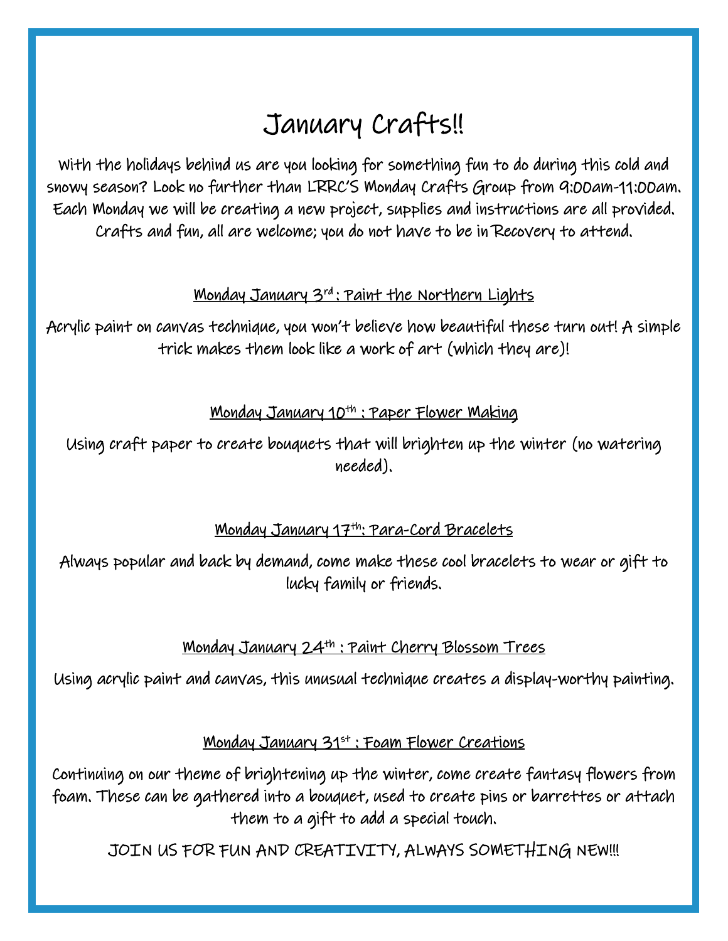# January Crafts!!

With the holidays behind us are you looking for something fun to do during this cold and snowy season? Look no further than LRRC'S Monday Crafts Group from 9:00am-11:00am. Each Monday we will be creating a new project, supplies and instructions are all provided. Crafts and fun, all are welcome; you do not have to be in Recovery to attend.

# Monday January 3rd : Paint the Northern Lights

Acrylic paint on canvas technique, you won't believe how beautiful these turn out! A simple trick makes them look like a work of art (which they are)!

# <u> Monday January 10th : Paper Flower Making</u>

Using craft paper to create bouquets that will brighten up the winter (no watering needed).

# Monday January 17th: Para-Cord Bracelets

Always popular and back by demand, come make these cool bracelets to wear or gift to lucky family or friends.

# Monday January 24th : Paint Cherry Blossom Trees

Using acrylic paint and canvas, this unusual technique creates a display-worthy painting.

### <u>Monday January 31st : Foam Flower Creations</u>

Continuing on our theme of brightening up the winter, come create fantasy flowers from foam. These can be gathered into a bouquet, used to create pins or barrettes or attach them to a gift to add a special touch.

JOIN US FOR FUN AND CREATIVITY, ALWAYS SOMETHING NEW!!!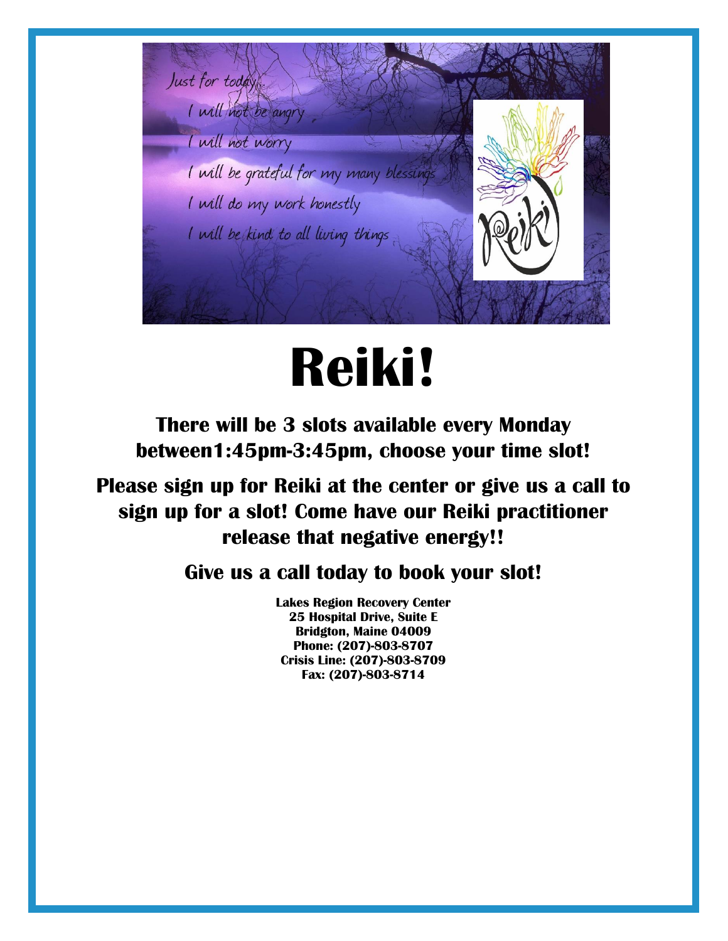

# **Reiki!**

**There will be 3 slots available every Monday between1:45pm-3:45pm, choose your time slot!**

**Please sign up for Reiki at the center or give us a call to sign up for a slot! Come have our Reiki practitioner release that negative energy!!**

# **Give us a call today to book your slot!**

**Lakes Region Recovery Center 25 Hospital Drive, Suite E Bridgton, Maine 04009 Phone: (207)-803-8707 Crisis Line: (207)-803-8709 Fax: (207)-803-8714**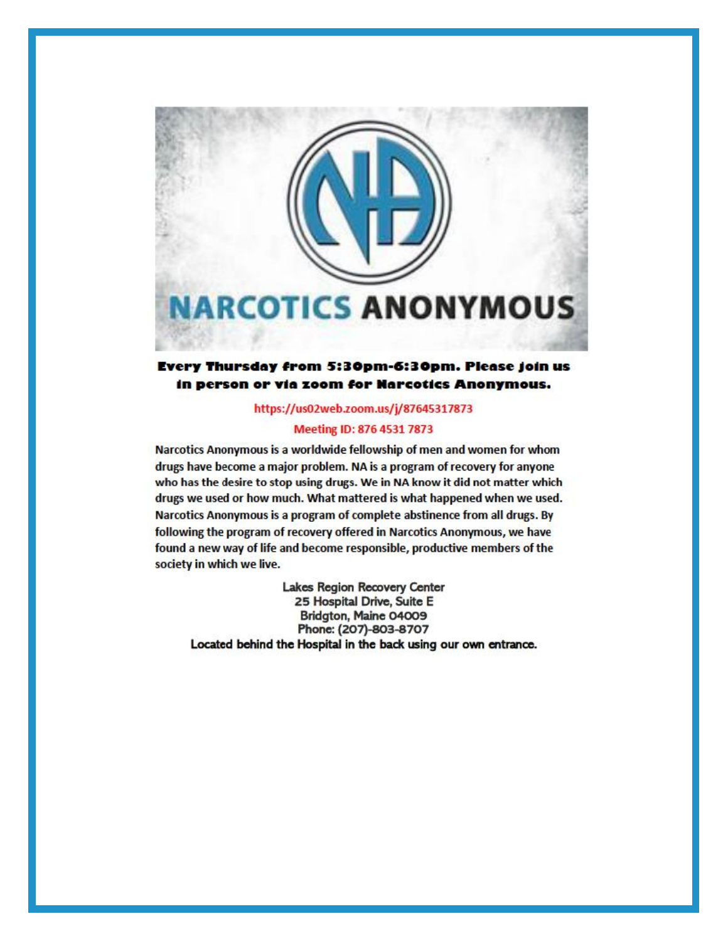

#### Every Thursday from 5:30pm-6:30pm. Please join us in person or via zoom for Narcotics Anonymous.

#### https://us02web.zoom.us/j/87645317873

#### Meeting ID: 876 4531 7873

Narcotics Anonymous is a worldwide fellowship of men and women for whom drugs have become a major problem. NA is a program of recovery for anyone who has the desire to stop using drugs. We in NA know it did not matter which drugs we used or how much. What mattered is what happened when we used. Narcotics Anonymous is a program of complete abstinence from all drugs. By following the program of recovery offered in Narcotics Anonymous, we have found a new way of life and become responsible, productive members of the society in which we live.

Lakes Region Recovery Center 25 Hospital Drive, Suite E Bridgton, Maine 04009 Phone: (207)-803-8707 Located behind the Hospital in the back using our own entrance.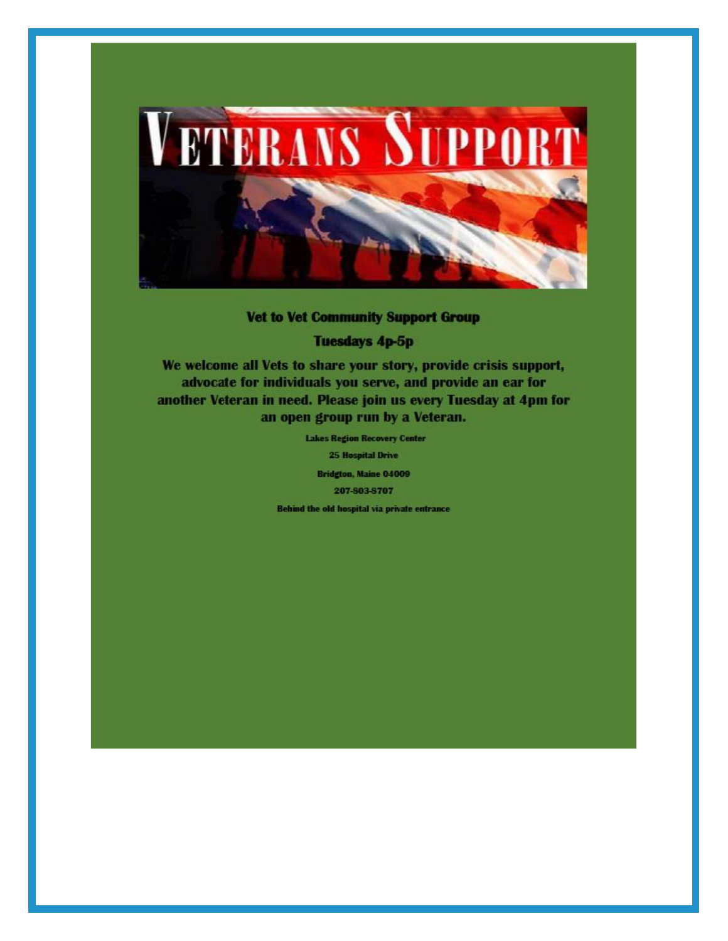

#### **Vet to Vet Community Support Group**

**Tuesdays 4p-5p** 

We welcome all Vets to share your story, provide crisis support, advocate for individuals you serve, and provide an ear for another Veteran in need. Please join us every Tuesday at 4pm for an open group run by a Veteran.

> **Lakes Region Recovery Center 25 Hospital Drive** Bridgton, Maine 04009 207-803-8707 Behind the old hospital via private entrance